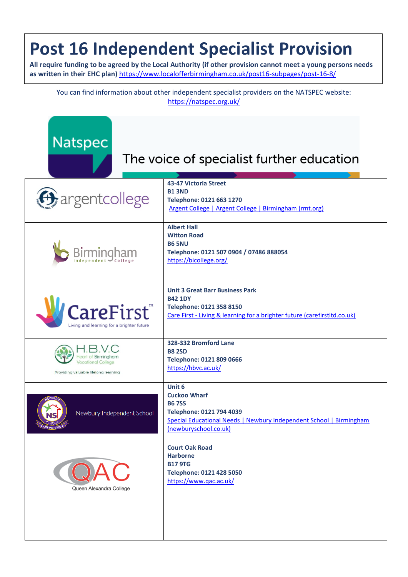## **Post 16 Independent Specialist Provision**

**All require funding to be agreed by the Local Authority (if other provision cannot meet a young persons needs as written in their EHC plan)** <https://www.localofferbirmingham.co.uk/post16-subpages/post-16-8/>

You can find information about other independent specialist providers on the NATSPEC website: <https://natspec.org.uk/>

| <b>Natspec</b><br>The voice of specialist further education                                     |                                                                                                                                                                           |  |
|-------------------------------------------------------------------------------------------------|---------------------------------------------------------------------------------------------------------------------------------------------------------------------------|--|
| <b>G</b> argentcollege                                                                          | 43-47 Victoria Street<br><b>B1 3ND</b><br>Telephone: 0121 663 1270<br>Argent College   Argent College   Birmingham (rmt.org)                                              |  |
| Birmingham                                                                                      | <b>Albert Hall</b><br><b>Witton Road</b><br><b>B6 5NU</b><br>Telephone: 0121 507 0904 / 07486 888054<br>https://bicollege.org/                                            |  |
| <b>CareFirst</b><br>Living and learning for a brighter future                                   | <b>Unit 3 Great Barr Business Park</b><br><b>B42 1DY</b><br>Telephone: 0121 358 8150<br>Care First - Living & learning for a brighter future (carefirstltd.co.uk)         |  |
| <b>Heart of Birmingham</b><br><b>Vocational College</b><br>Providing valuable lifelong learning | 328-332 Bromford Lane<br><b>B8 2SD</b><br>Telephone: 0121 809 0666<br>https://hbvc.ac.uk/                                                                                 |  |
| Newbury Independent School<br><b>HOPE AND FUTURE *</b>                                          | Unit 6<br><b>Cuckoo Wharf</b><br><b>B67SS</b><br>Telephone: 0121 794 4039<br>Special Educational Needs   Newbury Independent School   Birmingham<br>(newburyschool.co.uk) |  |
| AC<br>Queen Alexandra College                                                                   | <b>Court Oak Road</b><br><b>Harborne</b><br><b>B17 9TG</b><br>Telephone: 0121 428 5050<br>https://www.qac.ac.uk/                                                          |  |
|                                                                                                 |                                                                                                                                                                           |  |